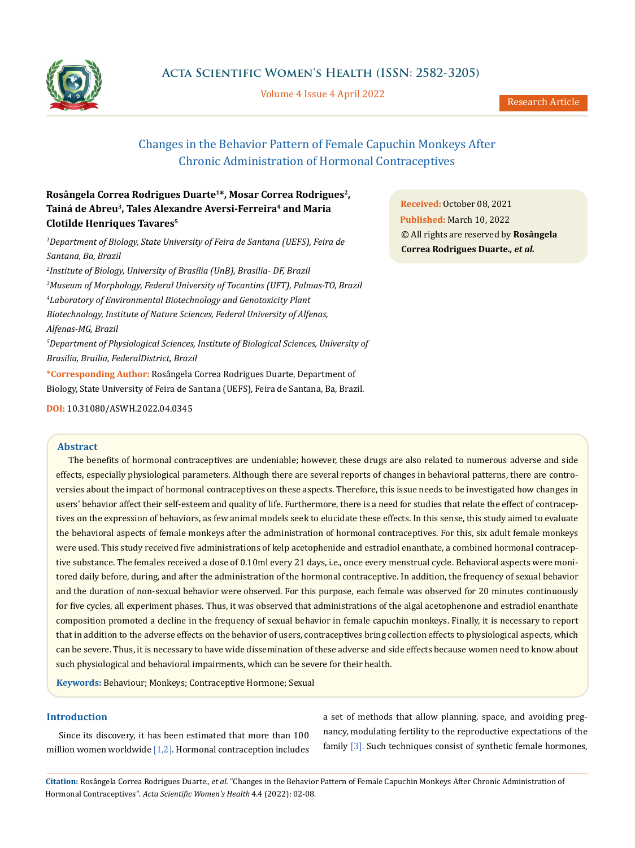

**Acta Scientific Women's Health (ISSN: 2582-3205)**

Volume 4 Issue 4 April 2022

# Changes in the Behavior Pattern of Female Capuchin Monkeys After Chronic Administration of Hormonal Contraceptives

# **Rosângela Correa Rodrigues Duarte1\*, Mosar Correa Rodrigues2, Tainá de Abreu3, Tales Alexandre Aversi-Ferreira4 and Maria Clotilde Henriques Tavares5**

*1 Department of Biology, State University of Feira de Santana (UEFS), Feira de Santana, Ba, Brazil 2 Institute of Biology, University of Brasília (UnB), Brasilia- DF, Brazil 3 Museum of Morphology, Federal University of Tocantins (UFT), Palmas-TO, Brazil 4 Laboratory of Environmental Biotechnology and Genotoxicity Plant Biotechnology, Institute of Nature Sciences, Federal University of Alfenas, Alfenas-MG, Brazil 5 Department of Physiological Sciences, Institute of Biological Sciences, University of Brasilia, Brailia, FederalDistrict, Brazil* **\*Corresponding Author:** Rosângela Correa Rodrigues Duarte, Department of Biology, State University of Feira de Santana (UEFS), Feira de Santana, Ba, Brazil.

**DOI:** [10.31080/ASWH.2022.04.0345](http://actascientific.com/ASWH/pdf/ASWH-04-0345.pdf)

### **Abstract**

The benefits of hormonal contraceptives are undeniable; however, these drugs are also related to numerous adverse and side effects, especially physiological parameters. Although there are several reports of changes in behavioral patterns, there are controversies about the impact of hormonal contraceptives on these aspects. Therefore, this issue needs to be investigated how changes in users' behavior affect their self-esteem and quality of life. Furthermore, there is a need for studies that relate the effect of contraceptives on the expression of behaviors, as few animal models seek to elucidate these effects. In this sense, this study aimed to evaluate the behavioral aspects of female monkeys after the administration of hormonal contraceptives. For this, six adult female monkeys were used. This study received five administrations of kelp acetophenide and estradiol enanthate, a combined hormonal contraceptive substance. The females received a dose of 0.10ml every 21 days, i.e., once every menstrual cycle. Behavioral aspects were monitored daily before, during, and after the administration of the hormonal contraceptive. In addition, the frequency of sexual behavior and the duration of non-sexual behavior were observed. For this purpose, each female was observed for 20 minutes continuously for five cycles, all experiment phases. Thus, it was observed that administrations of the algal acetophenone and estradiol enanthate composition promoted a decline in the frequency of sexual behavior in female capuchin monkeys. Finally, it is necessary to report that in addition to the adverse effects on the behavior of users, contraceptives bring collection effects to physiological aspects, which can be severe. Thus, it is necessary to have wide dissemination of these adverse and side effects because women need to know about such physiological and behavioral impairments, which can be severe for their health.

**Keywords:** Behaviour; Monkeys; Contraceptive Hormone; Sexual

# **Introduction**

Since its discovery, it has been estimated that more than 100 million women worldwide  $[1,2]$ . Hormonal contraception includes a set of methods that allow planning, space, and avoiding pregnancy, modulating fertility to the reproductive expectations of the family [3]. Such techniques consist of synthetic female hormones,

**Citation:** Rosângela Correa Rodrigues Duarte*., et al.* "Changes in the Behavior Pattern of Female Capuchin Monkeys After Chronic Administration of Hormonal Contraceptives". *Acta Scientific Women's Health* 4.4 (2022): 02-08.

**Received:** October 08, 2021 **Published:** March 10, 2022 © All rights are reserved by **Rosângela Correa Rodrigues Duarte***., et al.*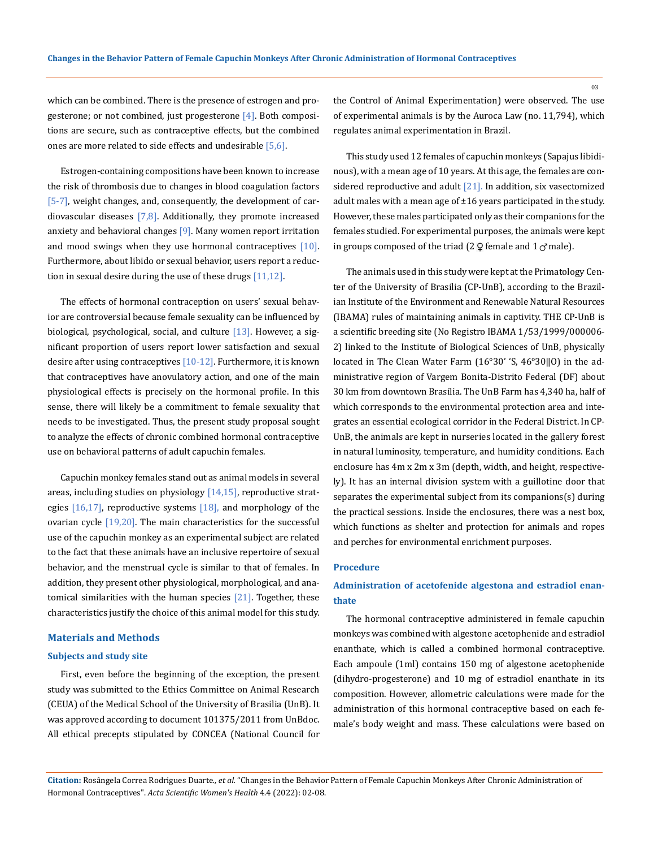which can be combined. There is the presence of estrogen and progesterone; or not combined, just progesterone [4]. Both compositions are secure, such as contraceptive effects, but the combined ones are more related to side effects and undesirable [5,6].

Estrogen-containing compositions have been known to increase the risk of thrombosis due to changes in blood coagulation factors [5-7], weight changes, and, consequently, the development of cardiovascular diseases  $[7,8]$ . Additionally, they promote increased anxiety and behavioral changes [9]. Many women report irritation and mood swings when they use hormonal contraceptives  $[10]$ . Furthermore, about libido or sexual behavior, users report a reduction in sexual desire during the use of these drugs  $[11,12]$ .

The effects of hormonal contraception on users' sexual behavior are controversial because female sexuality can be influenced by biological, psychological, social, and culture  $[13]$ . However, a significant proportion of users report lower satisfaction and sexual desire after using contraceptives [10-12]. Furthermore, it is known that contraceptives have anovulatory action, and one of the main physiological effects is precisely on the hormonal profile. In this sense, there will likely be a commitment to female sexuality that needs to be investigated. Thus, the present study proposal sought to analyze the effects of chronic combined hormonal contraceptive use on behavioral patterns of adult capuchin females.

Capuchin monkey females stand out as animal models in several areas, including studies on physiology  $[14,15]$ , reproductive strategies  $[16,17]$ , reproductive systems  $[18]$ , and morphology of the ovarian cycle  $[19,20]$ . The main characteristics for the successful use of the capuchin monkey as an experimental subject are related to the fact that these animals have an inclusive repertoire of sexual behavior, and the menstrual cycle is similar to that of females. In addition, they present other physiological, morphological, and anatomical similarities with the human species  $[21]$ . Together, these characteristics justify the choice of this animal model for this study.

## **Materials and Methods**

#### **Subjects and study site**

First, even before the beginning of the exception, the present study was submitted to the Ethics Committee on Animal Research (CEUA) of the Medical School of the University of Brasilia (UnB). It was approved according to document 101375/2011 from UnBdoc. All ethical precepts stipulated by CONCEA (National Council for the Control of Animal Experimentation) were observed. The use of experimental animals is by the Auroca Law (no. 11,794), which regulates animal experimentation in Brazil.

This study used 12 females of capuchin monkeys (Sapajus libidinous), with a mean age of 10 years. At this age, the females are considered reproductive and adult  $[21]$ . In addition, six vasectomized adult males with a mean age of  $\pm 16$  years participated in the study. However, these males participated only as their companions for the females studied. For experimental purposes, the animals were kept in groups composed of the triad (2  $\varphi$  female and 1  $\varphi$  male).

The animals used in this study were kept at the Primatology Center of the University of Brasilia (CP-UnB), according to the Brazilian Institute of the Environment and Renewable Natural Resources (IBAMA) rules of maintaining animals in captivity. THE CP-UnB is a scientific breeding site (No Registro IBAMA 1/53/1999/000006- 2) linked to the Institute of Biological Sciences of UnB, physically located in The Clean Water Farm (16°30' 'S, 46°30‖O) in the administrative region of Vargem Bonita-Distrito Federal (DF) about 30 km from downtown Brasília. The UnB Farm has 4,340 ha, half of which corresponds to the environmental protection area and integrates an essential ecological corridor in the Federal District. In CP-UnB, the animals are kept in nurseries located in the gallery forest in natural luminosity, temperature, and humidity conditions. Each enclosure has 4m x 2m x 3m (depth, width, and height, respectively). It has an internal division system with a guillotine door that separates the experimental subject from its companions(s) during the practical sessions. Inside the enclosures, there was a nest box, which functions as shelter and protection for animals and ropes and perches for environmental enrichment purposes.

#### **Procedure**

# **Administration of acetofenide algestona and estradiol enanthate**

The hormonal contraceptive administered in female capuchin monkeys was combined with algestone acetophenide and estradiol enanthate, which is called a combined hormonal contraceptive. Each ampoule (1ml) contains 150 mg of algestone acetophenide (dihydro-progesterone) and 10 mg of estradiol enanthate in its composition. However, allometric calculations were made for the administration of this hormonal contraceptive based on each female's body weight and mass. These calculations were based on

**Citation:** Rosângela Correa Rodrigues Duarte*., et al.* "Changes in the Behavior Pattern of Female Capuchin Monkeys After Chronic Administration of Hormonal Contraceptives". *Acta Scientific Women's Health* 4.4 (2022): 02-08.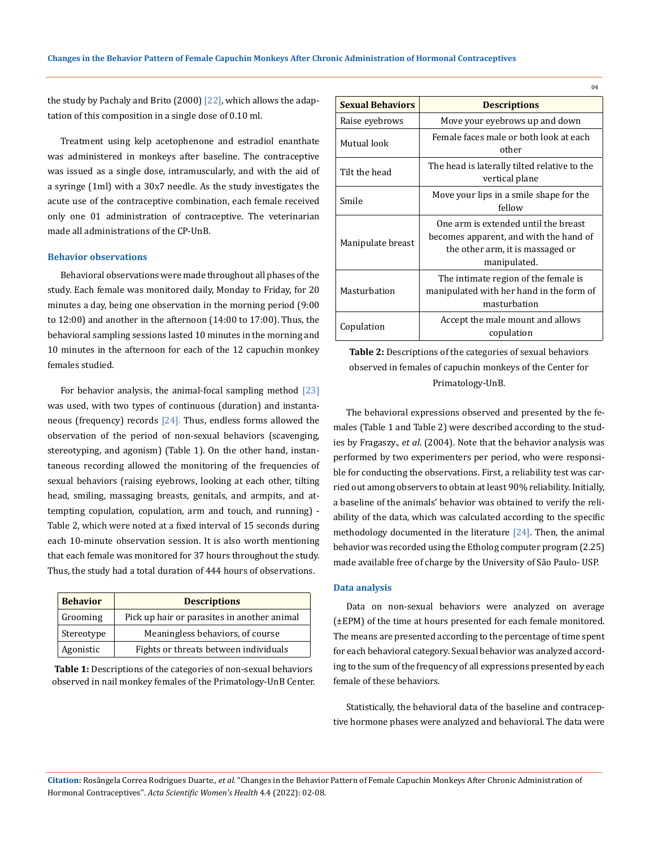the study by Pachaly and Brito  $(2000)$   $[22]$ , which allows the adaptation of this composition in a single dose of 0.10 ml.

Treatment using kelp acetophenone and estradiol enanthate was administered in monkeys after baseline. The contraceptive was issued as a single dose, intramuscularly, and with the aid of a syringe (1ml) with a 30x7 needle. As the study investigates the acute use of the contraceptive combination, each female received only one 01 administration of contraceptive. The veterinarian made all administrations of the CP-UnB.

#### **Behavior observations**

Behavioral observations were made throughout all phases of the study. Each female was monitored daily, Monday to Friday, for 20 minutes a day, being one observation in the morning period (9:00 to 12:00) and another in the afternoon (14:00 to 17:00). Thus, the behavioral sampling sessions lasted 10 minutes in the morning and 10 minutes in the afternoon for each of the 12 capuchin monkey females studied.

For behavior analysis, the animal-focal sampling method [23] was used, with two types of continuous (duration) and instantaneous (frequency) records  $[24]$ . Thus, endless forms allowed the observation of the period of non-sexual behaviors (scavenging, stereotyping, and agonism) (Table 1). On the other hand, instantaneous recording allowed the monitoring of the frequencies of sexual behaviors (raising eyebrows, looking at each other, tilting head, smiling, massaging breasts, genitals, and armpits, and attempting copulation, copulation, arm and touch, and running) - Table 2, which were noted at a fixed interval of 15 seconds during each 10-minute observation session. It is also worth mentioning that each female was monitored for 37 hours throughout the study. Thus, the study had a total duration of 444 hours of observations.

| <b>Behavior</b> | <b>Descriptions</b>                         |
|-----------------|---------------------------------------------|
| Grooming        | Pick up hair or parasites in another animal |
| Stereotype      | Meaningless behaviors, of course            |
| Agonistic       | Fights or threats between individuals       |

**Table 1:** Descriptions of the categories of non-sexual behaviors observed in nail monkey females of the Primatology-UnB Center.

| <b>Sexual Behaviors</b> | <b>Descriptions</b>                                                                                                                |
|-------------------------|------------------------------------------------------------------------------------------------------------------------------------|
| Raise eyebrows          | Move your eyebrows up and down                                                                                                     |
| Mutual look             | Female faces male or both look at each<br>other                                                                                    |
| Tilt the head           | The head is laterally tilted relative to the<br>vertical plane                                                                     |
| Smile                   | Move your lips in a smile shape for the<br>fellow                                                                                  |
| Manipulate breast       | One arm is extended until the breast<br>becomes apparent, and with the hand of<br>the other arm, it is massaged or<br>manipulated. |
| Masturbation            | The intimate region of the female is<br>manipulated with her hand in the form of<br>masturbation                                   |
| Copulation              | Accept the male mount and allows<br>copulation                                                                                     |

**Table 2:** Descriptions of the categories of sexual behaviors observed in females of capuchin monkeys of the Center for Primatology-UnB.

The behavioral expressions observed and presented by the females (Table 1 and Table 2) were described according to the studies by Fragaszy., *et al*. (2004). Note that the behavior analysis was performed by two experimenters per period, who were responsible for conducting the observations. First, a reliability test was carried out among observers to obtain at least 90% reliability. Initially, a baseline of the animals' behavior was obtained to verify the reliability of the data, which was calculated according to the specific methodology documented in the literature [24]. Then, the animal behavior was recorded using the Etholog computer program (2.25) made available free of charge by the University of São Paulo- USP.

#### **Data analysis**

Data on non-sexual behaviors were analyzed on average (±EPM) of the time at hours presented for each female monitored. The means are presented according to the percentage of time spent for each behavioral category. Sexual behavior was analyzed according to the sum of the frequency of all expressions presented by each female of these behaviors.

Statistically, the behavioral data of the baseline and contraceptive hormone phases were analyzed and behavioral. The data were

**Citation:** Rosângela Correa Rodrigues Duarte*., et al.* "Changes in the Behavior Pattern of Female Capuchin Monkeys After Chronic Administration of Hormonal Contraceptives". *Acta Scientific Women's Health* 4.4 (2022): 02-08.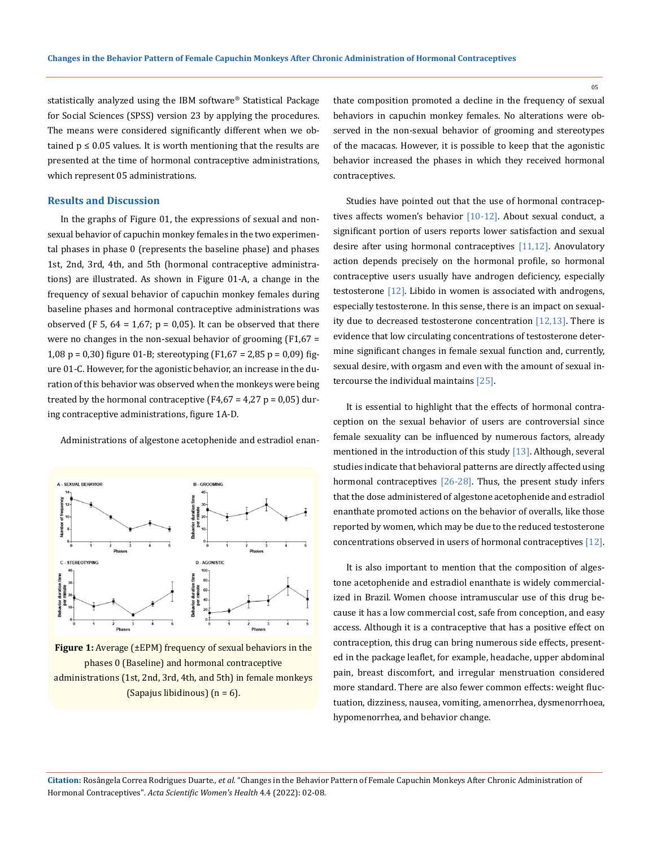statistically analyzed using the IBM software® Statistical Package for Social Sciences (SPSS) version 23 by applying the procedures. The means were considered significantly different when we obtained  $p \le 0.05$  values. It is worth mentioning that the results are presented at the time of hormonal contraceptive administrations, which represent 05 administrations.

# **Results and Discussion**

In the graphs of Figure 01, the expressions of sexual and nonsexual behavior of capuchin monkey females in the two experimental phases in phase 0 (represents the baseline phase) and phases 1st, 2nd, 3rd, 4th, and 5th (hormonal contraceptive administrations) are illustrated. As shown in Figure 01-A, a change in the frequency of sexual behavior of capuchin monkey females during baseline phases and hormonal contraceptive administrations was observed (F 5,  $64 = 1,67$ ;  $p = 0,05$ ). It can be observed that there were no changes in the non-sexual behavior of grooming  $(F1, 67 =$ 1,08 p = 0,30) figure 01-B; stereotyping (F1,67 = 2,85 p = 0,09) figure 01-C. However, for the agonistic behavior, an increase in the duration of this behavior was observed when the monkeys were being treated by the hormonal contraceptive  $(F4, 67 = 4, 27 p = 0, 05)$  during contraceptive administrations, figure 1A-D.

Administrations of algestone acetophenide and estradiol enan-



**Figure 1:** Average (±EPM) frequency of sexual behaviors in the phases 0 (Baseline) and hormonal contraceptive administrations (1st, 2nd, 3rd, 4th, and 5th) in female monkeys (Sapajus libidinous)  $(n = 6)$ .

thate composition promoted a decline in the frequency of sexual behaviors in capuchin monkey females. No alterations were observed in the non-sexual behavior of grooming and stereotypes of the macacas. However, it is possible to keep that the agonistic behavior increased the phases in which they received hormonal contraceptives.

Studies have pointed out that the use of hormonal contraceptives affects women's behavior [10-12]. About sexual conduct, a significant portion of users reports lower satisfaction and sexual desire after using hormonal contraceptives [11,12]. Anovulatory action depends precisely on the hormonal profile, so hormonal contraceptive users usually have androgen deficiency, especially testosterone [12]. Libido in women is associated with androgens, especially testosterone. In this sense, there is an impact on sexuality due to decreased testosterone concentration  $[12,13]$ . There is evidence that low circulating concentrations of testosterone determine significant changes in female sexual function and, currently, sexual desire, with orgasm and even with the amount of sexual intercourse the individual maintains [25].

It is essential to highlight that the effects of hormonal contraception on the sexual behavior of users are controversial since female sexuality can be influenced by numerous factors, already mentioned in the introduction of this study [13]. Although, several studies indicate that behavioral patterns are directly affected using hormonal contraceptives [26-28]. Thus, the present study infers that the dose administered of algestone acetophenide and estradiol enanthate promoted actions on the behavior of overalls, like those reported by women, which may be due to the reduced testosterone concentrations observed in users of hormonal contraceptives [12].

It is also important to mention that the composition of algestone acetophenide and estradiol enanthate is widely commercialized in Brazil. Women choose intramuscular use of this drug because it has a low commercial cost, safe from conception, and easy access. Although it is a contraceptive that has a positive effect on contraception, this drug can bring numerous side effects, presented in the package leaflet, for example, headache, upper abdominal pain, breast discomfort, and irregular menstruation considered more standard. There are also fewer common effects: weight fluctuation, dizziness, nausea, vomiting, amenorrhea, dysmenorrhoea, hypomenorrhea, and behavior change.

**Citation:** Rosângela Correa Rodrigues Duarte*., et al.* "Changes in the Behavior Pattern of Female Capuchin Monkeys After Chronic Administration of Hormonal Contraceptives". *Acta Scientific Women's Health* 4.4 (2022): 02-08.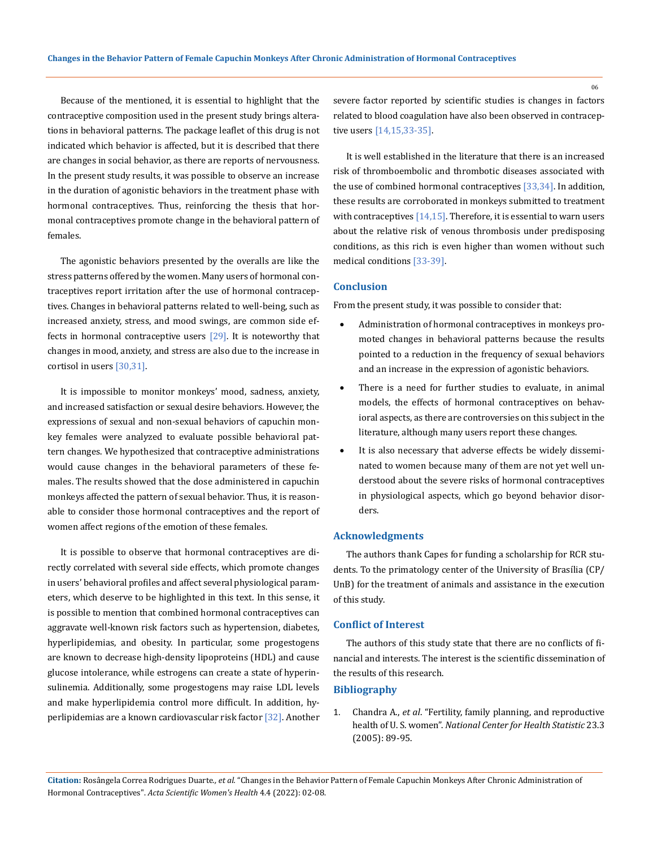Because of the mentioned, it is essential to highlight that the contraceptive composition used in the present study brings alterations in behavioral patterns. The package leaflet of this drug is not indicated which behavior is affected, but it is described that there are changes in social behavior, as there are reports of nervousness. In the present study results, it was possible to observe an increase in the duration of agonistic behaviors in the treatment phase with hormonal contraceptives. Thus, reinforcing the thesis that hormonal contraceptives promote change in the behavioral pattern of females.

The agonistic behaviors presented by the overalls are like the stress patterns offered by the women. Many users of hormonal contraceptives report irritation after the use of hormonal contraceptives. Changes in behavioral patterns related to well-being, such as increased anxiety, stress, and mood swings, are common side effects in hormonal contraceptive users  $[29]$ . It is noteworthy that changes in mood, anxiety, and stress are also due to the increase in cortisol in users [30,31].

It is impossible to monitor monkeys' mood, sadness, anxiety, and increased satisfaction or sexual desire behaviors. However, the expressions of sexual and non-sexual behaviors of capuchin monkey females were analyzed to evaluate possible behavioral pattern changes. We hypothesized that contraceptive administrations would cause changes in the behavioral parameters of these females. The results showed that the dose administered in capuchin monkeys affected the pattern of sexual behavior. Thus, it is reasonable to consider those hormonal contraceptives and the report of women affect regions of the emotion of these females.

It is possible to observe that hormonal contraceptives are directly correlated with several side effects, which promote changes in users' behavioral profiles and affect several physiological parameters, which deserve to be highlighted in this text. In this sense, it is possible to mention that combined hormonal contraceptives can aggravate well-known risk factors such as hypertension, diabetes, hyperlipidemias, and obesity. In particular, some progestogens are known to decrease high-density lipoproteins (HDL) and cause glucose intolerance, while estrogens can create a state of hyperinsulinemia. Additionally, some progestogens may raise LDL levels and make hyperlipidemia control more difficult. In addition, hyperlipidemias are a known cardiovascular risk factor [32]. Another

severe factor reported by scientific studies is changes in factors related to blood coagulation have also been observed in contraceptive users [14,15,33-35].

It is well established in the literature that there is an increased risk of thromboembolic and thrombotic diseases associated with the use of combined hormonal contraceptives [33,34]. In addition, these results are corroborated in monkeys submitted to treatment with contraceptives  $[14,15]$ . Therefore, it is essential to warn users about the relative risk of venous thrombosis under predisposing conditions, as this rich is even higher than women without such medical conditions [33-39].

#### **Conclusion**

From the present study, it was possible to consider that:

- Administration of hormonal contraceptives in monkeys promoted changes in behavioral patterns because the results pointed to a reduction in the frequency of sexual behaviors and an increase in the expression of agonistic behaviors.
- There is a need for further studies to evaluate, in animal models, the effects of hormonal contraceptives on behavioral aspects, as there are controversies on this subject in the literature, although many users report these changes.
- It is also necessary that adverse effects be widely disseminated to women because many of them are not yet well understood about the severe risks of hormonal contraceptives in physiological aspects, which go beyond behavior disorders.

### **Acknowledgments**

The authors thank Capes for funding a scholarship for RCR students. To the primatology center of the University of Brasília (CP/ UnB) for the treatment of animals and assistance in the execution of this study.

#### **Conflict of Interest**

The authors of this study state that there are no conflicts of financial and interests. The interest is the scientific dissemination of the results of this research.

## **Bibliography**

1. Chandra A., *et al*. "Fertility, family planning, and reproductive health of U. S. women". *National Center for Health Statistic* 23.3 (2005): 89-95.

**Citation:** Rosângela Correa Rodrigues Duarte*., et al.* "Changes in the Behavior Pattern of Female Capuchin Monkeys After Chronic Administration of Hormonal Contraceptives". *Acta Scientific Women's Health* 4.4 (2022): 02-08.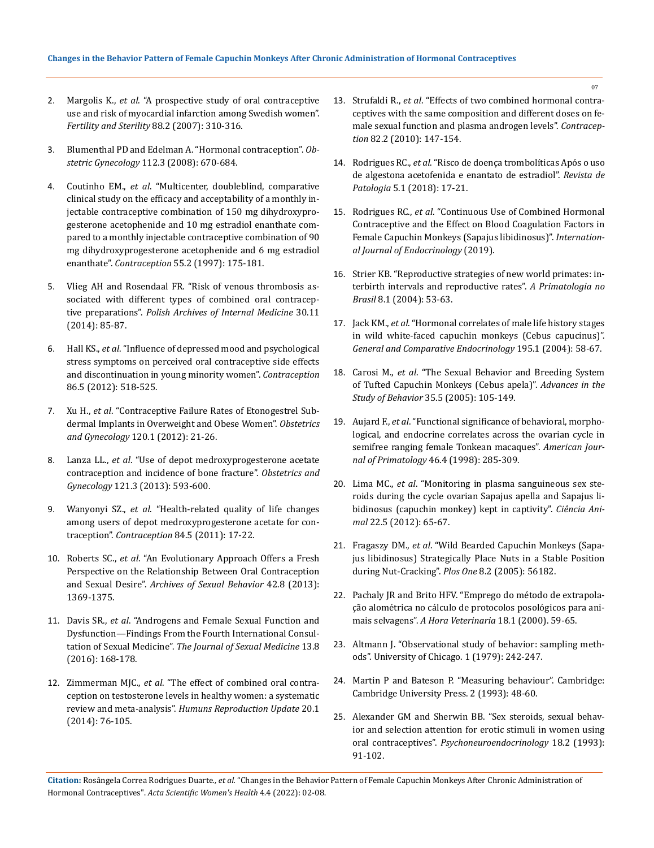- 2. Margolis K., *et al*[. "A prospective study of oral contraceptive](https://pubmed.ncbi.nlm.nih.gov/17624338/)  [use and risk of myocardial infarction among Swedish women".](https://pubmed.ncbi.nlm.nih.gov/17624338/)  *[Fertility and Sterility](https://pubmed.ncbi.nlm.nih.gov/17624338/)* 88.2 (2007): 310-316.
- 3. Blumenthal PD and Edelman A. "Hormonal contraception". *Obstetric Gynecology* 112.3 (2008): 670-684.
- 4. Coutinho EM., *et al*. "Multicenter, doubleblind, comparative clinical study on the efficacy and acceptability of a monthly injectable contraceptive combination of 150 mg dihydroxyprogesterone acetophenide and 10 mg estradiol enanthate compared to a monthly injectable contraceptive combination of 90 mg dihydroxyprogesterone acetophenide and 6 mg estradiol enanthate". *Contraception* 55.2 (1997): 175-181.
- 5. [Vlieg AH and Rosendaal FR. "Risk of venous thrombosis as](https://pubmed.ncbi.nlm.nih.gov/24556917/)[sociated with different types of combined oral contracep](https://pubmed.ncbi.nlm.nih.gov/24556917/)tive preparations". *[Polish Archives of Internal Medicine](https://pubmed.ncbi.nlm.nih.gov/24556917/)* 30.11 [\(2014\): 85-87.](https://pubmed.ncbi.nlm.nih.gov/24556917/)
- 6. Hall KS., *et al*[. "Influence of depressed mood and psychological](https://pubmed.ncbi.nlm.nih.gov/22673038/)  [stress symptoms on perceived oral contraceptive side effects](https://pubmed.ncbi.nlm.nih.gov/22673038/)  [and discontinuation in young minority women".](https://pubmed.ncbi.nlm.nih.gov/22673038/) *Contraception*  [86.5 \(2012\): 518-525.](https://pubmed.ncbi.nlm.nih.gov/22673038/)
- 7. Xu H., *et al*. "Contraceptive Failure Rates of Etonogestrel Subdermal Implants in Overweight and Obese Women". *Obstetrics and Gynecology* 120.1 (2012): 21-26.
- 8. Lanza LL., *et al*. "Use of depot medroxyprogesterone acetate contraception and incidence of bone fracture". *Obstetrics and Gynecology* 121.3 (2013): 593-600.
- 9. Wanyonyi SZ., *et al*[. "Health-related quality of life changes](https://pubmed.ncbi.nlm.nih.gov/22018133/)  [among users of depot medroxyprogesterone acetate for con](https://pubmed.ncbi.nlm.nih.gov/22018133/)traception". *Contraception* [84.5 \(2011\): 17-22.](https://pubmed.ncbi.nlm.nih.gov/22018133/)
- 10. Roberts SC., *et al*[. "An Evolutionary Approach Offers a Fresh](https://pubmed.ncbi.nlm.nih.gov/23733157/)  [Perspective on the Relationship Between Oral Contraception](https://pubmed.ncbi.nlm.nih.gov/23733157/)  and Sexual Desire". *[Archives of Sexual Behavior](https://pubmed.ncbi.nlm.nih.gov/23733157/)* 42.8 (2013): [1369-1375.](https://pubmed.ncbi.nlm.nih.gov/23733157/)
- 11. Davis SR., *et al*[. "Androgens and Female Sexual Function and](https://pubmed.ncbi.nlm.nih.gov/26953831/)  [Dysfunction—Findings From the Fourth International Consul](https://pubmed.ncbi.nlm.nih.gov/26953831/)tation of Sexual Medicine". *[The Journal of Sexual Medicine](https://pubmed.ncbi.nlm.nih.gov/26953831/)* 13.8 [\(2016\): 168-178.](https://pubmed.ncbi.nlm.nih.gov/26953831/)
- 12. Zimmerman MJC., *et al*[. "The effect of combined oral contra](https://pubmed.ncbi.nlm.nih.gov/24082040/)[ception on testosterone levels in healthy women: a systematic](https://pubmed.ncbi.nlm.nih.gov/24082040/)  [review and meta-analysis".](https://pubmed.ncbi.nlm.nih.gov/24082040/) *Humuns Reproduction Update* 20.1 [\(2014\): 76-105.](https://pubmed.ncbi.nlm.nih.gov/24082040/)
- 13. Strufaldi R., *et al*[. "Effects of two combined hormonal contra](https://pubmed.ncbi.nlm.nih.gov/20654755/)[ceptives with the same composition and different doses on fe](https://pubmed.ncbi.nlm.nih.gov/20654755/)[male sexual function and plasma androgen levels".](https://pubmed.ncbi.nlm.nih.gov/20654755/) *Contraception* [82.2 \(2010\): 147-154.](https://pubmed.ncbi.nlm.nih.gov/20654755/)
- 14. Rodrigues RC., *et al*[. "Risco de doença trombolíticas Após o uso](https://www.researchgate.net/publication/324567068_RISCO_DE_DOENCA_TROMBOLITICAS_APOS_O_USO_DE_ALGESTONA_ACETOFENIDA_E_ENANTATO_DE_ESTRADIOL)  [de algestona acetofenida e enantato de estradiol".](https://www.researchgate.net/publication/324567068_RISCO_DE_DOENCA_TROMBOLITICAS_APOS_O_USO_DE_ALGESTONA_ACETOFENIDA_E_ENANTATO_DE_ESTRADIOL) *Revista de Patologia* [5.1 \(2018\): 17-21.](https://www.researchgate.net/publication/324567068_RISCO_DE_DOENCA_TROMBOLITICAS_APOS_O_USO_DE_ALGESTONA_ACETOFENIDA_E_ENANTATO_DE_ESTRADIOL)
- 15. Rodrigues RC., *et al*[. "Continuous Use of Combined Hormonal](https://pubmed.ncbi.nlm.nih.gov/31001334/)  [Contraceptive and the Effect on Blood Coagulation Factors in](https://pubmed.ncbi.nlm.nih.gov/31001334/)  [Female Capuchin Monkeys \(Sapajus libidinosus\)".](https://pubmed.ncbi.nlm.nih.gov/31001334/) *Internation[al Journal of Endocrinology](https://pubmed.ncbi.nlm.nih.gov/31001334/)* (2019).
- 16. Strier KB. "Reproductive strategies of new world primates: interbirth intervals and reproductive rates". *A Primatologia no Brasil* 8.1 (2004): 53-63.
- 17. Jack KM., *et al*[. "Hormonal correlates of male life history stages](https://pubmed.ncbi.nlm.nih.gov/24184868/)  [in wild white-faced capuchin monkeys \(Cebus capucinus\)".](https://pubmed.ncbi.nlm.nih.gov/24184868/)  *[General and Comparative Endocrinology](https://pubmed.ncbi.nlm.nih.gov/24184868/)* 195.1 (2004): 58-67.
- 18. Carosi M., *et al*[. "The Sexual Behavior and Breeding System](https://www.sciencedirect.com/science/article/abs/pii/S0065345405350030)  [of Tufted Capuchin Monkeys \(Cebus apela\)".](https://www.sciencedirect.com/science/article/abs/pii/S0065345405350030) *Advances in the Study of Behavior* [35.5 \(2005\): 105-149.](https://www.sciencedirect.com/science/article/abs/pii/S0065345405350030)
- 19. Aujard F., *et al*[. "Functional significance of behavioral, morpho](https://pubmed.ncbi.nlm.nih.gov/9839903/)[logical, and endocrine correlates across the ovarian cycle in](https://pubmed.ncbi.nlm.nih.gov/9839903/)  [semifree ranging female Tonkean macaques".](https://pubmed.ncbi.nlm.nih.gov/9839903/) *American Journal of Primatology* [46.4 \(1998\): 285-309.](https://pubmed.ncbi.nlm.nih.gov/9839903/)
- 20. Lima MC., *et al*. "Monitoring in plasma sanguineous sex steroids during the cycle ovarian Sapajus apella and Sapajus libidinosus (capuchin monkey) kept in captivity". *Ciência Animal* 22.5 (2012): 65-67.
- 21. Fragaszy DM., *et al*. "Wild Bearded Capuchin Monkeys (Sapajus libidinosus) Strategically Place Nuts in a Stable Position during Nut-Cracking". *Plos One* 8.2 (2005): 56182.
- 22. Pachaly JR and Brito HFV. "Emprego do método de extrapolação alométrica no cálculo de protocolos posológicos para animais selvagens". *A Hora Veterinaria* 18.1 (2000). 59-65.
- 23. Altmann J. "Observational study of behavior: sampling methods". University of Chicago. 1 (1979): 242-247.
- 24. Martin P and Bateson P. "Measuring behaviour". Cambridge: Cambridge University Press. 2 (1993): 48-60.
- 25. [Alexander GM and Sherwin BB. "Sex steroids, sexual behav](https://pubmed.ncbi.nlm.nih.gov/8493300/)[ior and selection attention for erotic stimuli in women using](https://pubmed.ncbi.nlm.nih.gov/8493300/)  oral contraceptives". *[Psychoneuroendocrinology](https://pubmed.ncbi.nlm.nih.gov/8493300/)* 18.2 (1993): [91-102.](https://pubmed.ncbi.nlm.nih.gov/8493300/)

**Citation:** Rosângela Correa Rodrigues Duarte*., et al.* "Changes in the Behavior Pattern of Female Capuchin Monkeys After Chronic Administration of Hormonal Contraceptives". *Acta Scientific Women's Health* 4.4 (2022): 02-08.